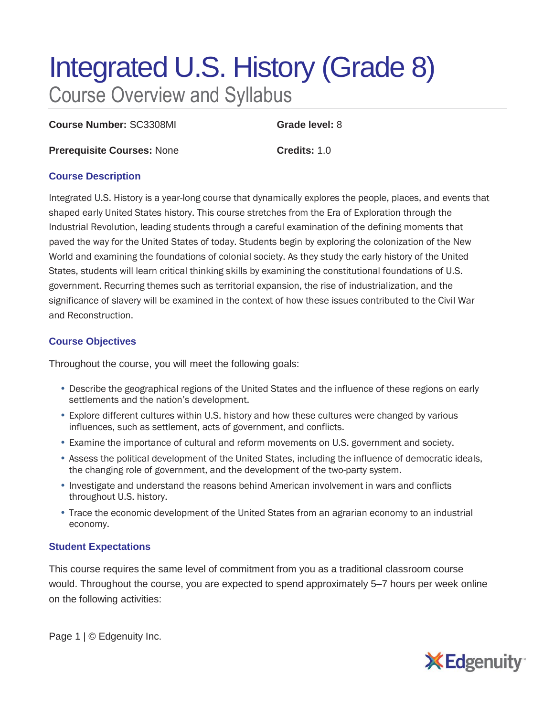# Integrated U.S. History (Grade 8) Course Overview and Syllabus

**Course Number:** SC3308MI **Grade level:** 8

**Prerequisite Courses:** None **Credits:** 1.0

## **Course Description**

Integrated U.S. History is a year-long course that dynamically explores the people, places, and events that shaped early United States history. This course stretches from the Era of Exploration through the Industrial Revolution, leading students through a careful examination of the defining moments that paved the way for the United States of today. Students begin by exploring the colonization of the New World and examining the foundations of colonial society. As they study the early history of the United States, students will learn critical thinking skills by examining the constitutional foundations of U.S. government. Recurring themes such as territorial expansion, the rise of industrialization, and the significance of slavery will be examined in the context of how these issues contributed to the Civil War and Reconstruction.

# **Course Objectives**

Throughout the course, you will meet the following goals:

- Describe the geographical regions of the United States and the influence of these regions on early settlements and the nation's development.
- Explore different cultures within U.S. history and how these cultures were changed by various influences, such as settlement, acts of government, and conflicts.
- Examine the importance of cultural and reform movements on U.S. government and society.
- Assess the political development of the United States, including the influence of democratic ideals, the changing role of government, and the development of the two-party system.
- Investigate and understand the reasons behind American involvement in wars and conflicts throughout U.S. history.
- Trace the economic development of the United States from an agrarian economy to an industrial economy.

# **Student Expectations**

This course requires the same level of commitment from you as a traditional classroom course would. Throughout the course, you are expected to spend approximately 5–7 hours per week online on the following activities:

Page 1 | © Edgenuity Inc.